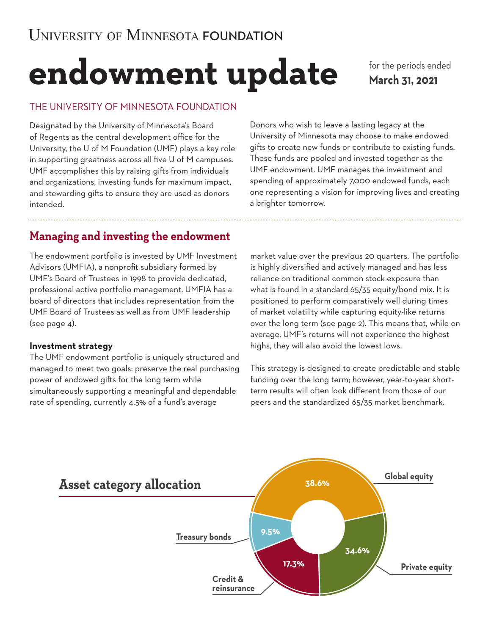# **endowment update**

for the periods ended **March 31, 2021**

## THE UNIVERSITY OF MINNESOTA FOUNDATION

Designated by the University of Minnesota's Board of Regents as the central development office for the University, the U of M Foundation (UMF) plays a key role in supporting greatness across all five U of M campuses. UMF accomplishes this by raising gifts from individuals and organizations, investing funds for maximum impact, and stewarding gifts to ensure they are used as donors intended.

Donors who wish to leave a lasting legacy at the University of Minnesota may choose to make endowed gifts to create new funds or contribute to existing funds. These funds are pooled and invested together as the UMF endowment. UMF manages the investment and spending of approximately 7,000 endowed funds, each one representing a vision for improving lives and creating a brighter tomorrow.

# **Managing and investing the endowment**

The endowment portfolio is invested by UMF Investment Advisors (UMFIA), a nonprofit subsidiary formed by UMF's Board of Trustees in 1998 to provide dedicated, professional active portfolio management. UMFIA has a board of directors that includes representation from the UMF Board of Trustees as well as from UMF leadership (see page 4).

## **Investment strategy**

The UMF endowment portfolio is uniquely structured and managed to meet two goals: preserve the real purchasing power of endowed gifts for the long term while simultaneously supporting a meaningful and dependable rate of spending, currently 4.5% of a fund's average

market value over the previous 20 quarters. The portfolio is highly diversified and actively managed and has less reliance on traditional common stock exposure than what is found in a standard 65/35 equity/bond mix. It is positioned to perform comparatively well during times of market volatility while capturing equity-like returns over the long term (see page 2). This means that, while on average, UMF's returns will not experience the highest highs, they will also avoid the lowest lows.

This strategy is designed to create predictable and stable funding over the long term; however, year-to-year shortterm results will often look different from those of our peers and the standardized 65/35 market benchmark.

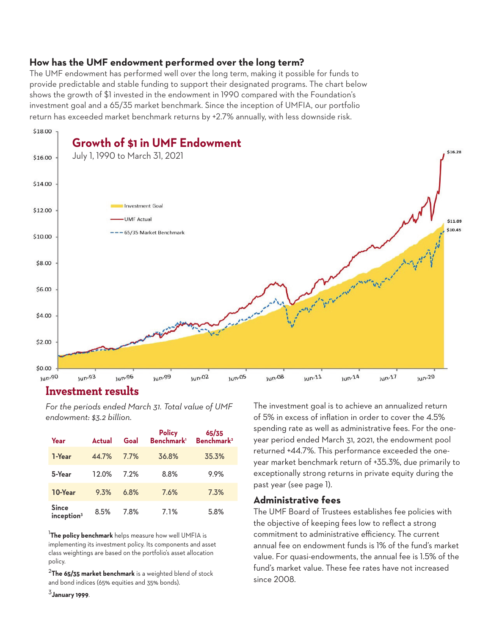## **How has the UMF endowment performed over the long term?**

The UMF endowment has performed well over the long term, making it possible for funds to provide predictable and stable funding to support their designated programs. The chart below shows the growth of \$1 invested in the endowment in 1990 compared with the Foundation's investment goal and a 65/35 market benchmark. Since the inception of UMFIA, our portfolio return has exceeded market benchmark returns by +2.7% annually, with less downside risk.



## **Investment results**

*For the periods ended March 31. Total value of UMF endowment: \$3.2 billion.*

| Year                                   | <b>Actual</b> | Goal | Policy<br>Benchmark <sup>1</sup> | 65/35<br>Benchmark <sup>2</sup> |
|----------------------------------------|---------------|------|----------------------------------|---------------------------------|
| 1-Year                                 | 44.7%         | 7.7% | 36.8%                            | 35.3%                           |
| 5-Year                                 | 12.0%         | 7.2% | 8.8%                             | 9.9%                            |
| 10-Year                                | 9.3%          | 6.8% | 7.6%                             | 7.3%                            |
| <b>Since</b><br>inception <sup>3</sup> | 8.5%          | 7.8% | 7.1%                             | 5.8%                            |

<sup>1</sup>**The policy benchmark** helps measure how well UMFIA is implementing its investment policy. Its components and asset class weightings are based on the portfolio's asset allocation policy.

<sup>2</sup>**The 65/35 market benchmark** is a weighted blend of stock and bond indices (65% equities and 35% bonds).

<sup>3</sup>**January 1999**.

The investment goal is to achieve an annualized return of 5% in excess of inflation in order to cover the 4.5% spending rate as well as administrative fees. For the oneyear period ended March 31, 2021, the endowment pool returned +44.7%. This performance exceeded the oneyear market benchmark return of +35.3%, due primarily to exceptionally strong returns in private equity during the past year (see page 1).

#### **Administrative fees**

The UMF Board of Trustees establishes fee policies with the objective of keeping fees low to reflect a strong commitment to administrative efficiency. The current annual fee on endowment funds is 1% of the fund's market value. For quasi-endowments, the annual fee is 1.5% of the fund's market value. These fee rates have not increased since 2008.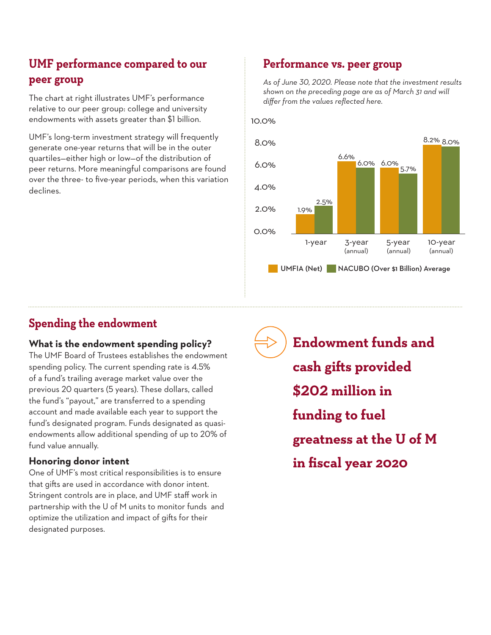# **UMF performance compared to our peer group**

The chart at right illustrates UMF's performance relative to our peer group: college and university endowments with assets greater than \$1 billion.

UMF's long-term investment strategy will frequently generate one-year returns that will be in the outer quartiles—either high or low—of the distribution of peer returns. More meaningful comparisons are found over the three- to five-year periods, when this variation declines.

## **Performance vs. peer group**

*As of June 30, 2020. Please note that the investment results shown on the preceding page are as of March 31 and will differ from the values reflected here.* 

10.0%



## **Spending the endowment**

## **What is the endowment spending policy?**

The UMF Board of Trustees establishes the endowment spending policy. The current spending rate is 4.5% of a fund's trailing average market value over the previous 20 quarters (5 years). These dollars, called the fund's "payout," are transferred to a spending account and made available each year to support the fund's designated program. Funds designated as quasiendowments allow additional spending of up to 20% of fund value annually.

## **Honoring donor intent**

One of UMF's most critical responsibilities is to ensure that gifts are used in accordance with donor intent. Stringent controls are in place, and UMF staff work in partnership with the U of M units to monitor funds and optimize the utilization and impact of gifts for their designated purposes.

**Endowment funds and cash gifts provided \$202 million in funding to fuel greatness at the U of M in fiscal year 2020**